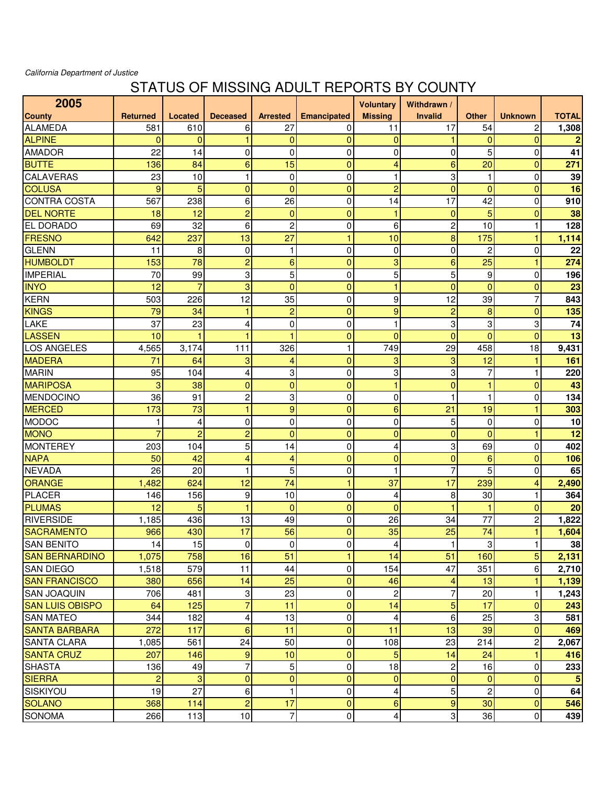## California Department of Justice

## STATUS OF MISSING ADULT REPORTS BY COUNTY

| 2005                   |                 |                |                 |                 |                    | <b>Voluntary</b>        | Withdrawn /    |                |                 |                |
|------------------------|-----------------|----------------|-----------------|-----------------|--------------------|-------------------------|----------------|----------------|-----------------|----------------|
| County                 | <b>Returned</b> | Located        | <b>Deceased</b> | <b>Arrested</b> | <b>Emancipated</b> | <b>Missing</b>          | <b>Invalid</b> | <b>Other</b>   | <b>Unknown</b>  | <b>TOTAL</b>   |
| <b>ALAMEDA</b>         | 581             | 610            | 6               | 27              | 0                  | 11                      | 17             | 54             | $\overline{c}$  | 1,308          |
| <b>ALPINE</b>          | $\mathbf{0}$    | $\mathbf{0}$   |                 | $\mathbf{0}$    | $\overline{0}$     | $\overline{0}$          |                | $\mathbf{0}$   | $\overline{0}$  | $\overline{2}$ |
| <b>AMADOR</b>          | 22              | 14             | 0               | 0               | 0                  | 0                       | 0              | 5              | $\mathbf 0$     | 41             |
| <b>BUTTE</b>           | 136             | 84             | 6               | 15              | $\overline{0}$     | 4                       | 6              | 20             | $\overline{0}$  | 271            |
| <b>CALAVERAS</b>       | 23              | 10             | 1               | 0               | $\mathbf 0$        | 1                       | 3              | 1              | $\mathbf 0$     | 39             |
| <b>COLUSA</b>          | 9               | 5              | $\mathbf{0}$    | $\overline{0}$  | $\overline{0}$     | $\overline{2}$          | $\overline{0}$ | $\mathbf{0}$   | $\overline{0}$  | 16             |
| <b>CONTRA COSTA</b>    | 567             | 238            | 6               | 26              | $\mathbf 0$        | 14                      | 17             | 42             | 0               | 910            |
| <b>DEL NORTE</b>       | 18              | 12             | $\overline{c}$  | $\mathbf 0$     | $\overline{0}$     | 1                       | $\overline{0}$ | 5              | 0               | 38             |
| EL DORADO              | 69              | 32             | 6               | 2               | 0                  | 6                       | $\overline{c}$ | 10             | $\mathbf{1}$    | 128            |
| <b>FRESNO</b>          | 642             | 237            | 13              | 27              | 1                  | 10                      | 8              | 175            | $\mathbf{1}$    | 1,114          |
| <b>GLENN</b>           | 11              | 8              | 0               | 1               | $\mathbf 0$        | $\mathbf 0$             | 0              | $\overline{c}$ | $\mathbf 0$     | 22             |
| <b>HUMBOLDT</b>        | 153             | 78             | $\overline{c}$  | 6               | $\mathbf 0$        | 3                       | 6              | 25             | 1               | 274            |
| <b>IMPERIAL</b>        | 70              | 99             | 3               | 5               | $\mathbf 0$        | 5                       | 5              | 9              | $\mathbf 0$     | 196            |
| <b>INYO</b>            | 12              | $\overline{7}$ | 3               | $\overline{0}$  | $\overline{0}$     | 1                       | $\overline{0}$ | $\overline{0}$ | $\overline{0}$  | 23             |
| <b>KERN</b>            | 503             | 226            | 12              | 35              | $\mathbf 0$        | 9                       | 12             | 39             | $\overline{7}$  | 843            |
| <b>KINGS</b>           | 79              | 34             | 1               | $\overline{c}$  | $\mathbf 0$        | 9                       | 2              | 8              | 0               | 135            |
| LAKE                   | 37              | 23             | 4               | 0               | 0                  | 1                       | 3              | 3              | 3               | 74             |
| <b>LASSEN</b>          | 10              | 1              |                 |                 | $\overline{0}$     | $\overline{0}$          | $\mathbf{0}$   | $\mathbf{0}$   | $\overline{0}$  | 13             |
| LOS ANGELES            | 4,565           | 3,174          | 111             | 326             | 1                  | 749                     | 29             | 458            | 18              | 9,431          |
| <b>MADERA</b>          | 71              | 64             | 3               | 4               | $\mathbf 0$        | 3                       | 3              | 12             | 1               | 161            |
| <b>MARIN</b>           | 95              | 104            | 4               | 3               | $\mathbf 0$        | 3                       | 3              | 7              | 1               | 220            |
| <b>MARIPOSA</b>        | 3               | 38             | $\mathbf{0}$    | $\overline{0}$  | $\overline{0}$     | 1                       | $\overline{0}$ | 1              | $\overline{0}$  | 43             |
| <b>MENDOCINO</b>       | 36              | 91             | $\overline{c}$  | 3               | $\mathbf 0$        | 0                       | 1              | $\mathbf{1}$   | $\mathbf 0$     | 134            |
| <b>MERCED</b>          | 173             | 73             | 1               | 9               | 0                  | 6                       | 21             | 19             | 1               | 303            |
| <b>MODOC</b>           | 1               | 4              | 0               | 0               | $\mathbf 0$        | 0                       | 5              | $\overline{0}$ | 0               | 10             |
| <b>MONO</b>            | 7               | $\overline{c}$ | $\overline{c}$  | $\overline{0}$  | $\overline{0}$     | $\overline{0}$          | $\overline{0}$ | $\mathbf{0}$   | 1               | 12             |
| <b>MONTEREY</b>        | 203             | 104            | 5               | 14              | $\mathbf 0$        | 4                       | 3              | 69             | $\mathbf 0$     | 402            |
| <b>NAPA</b>            | 50              | 42             | 4               | 4               | $\overline{0}$     | $\overline{0}$          | $\overline{0}$ | 6              | $\mathbf 0$     | 106            |
| <b>NEVADA</b>          | 26              | 20             |                 | 5               | $\mathbf 0$        | 1                       |                | 5              | 0               | 65             |
| <b>ORANGE</b>          | 1,482           | 624            | 12              | 74              | 1                  | 37                      | 17             | 239            | 4               | 2,490          |
| <b>PLACER</b>          | 146             | 156            | 9               | 10              | $\mathbf 0$        | 4                       | 8              | 30             | $\mathbf{1}$    | 364            |
| <b>PLUMAS</b>          | 12              | 5              | 1               | $\overline{0}$  | $\overline{0}$     | $\overline{0}$          |                | 1              | $\overline{0}$  | 20             |
| <b>RIVERSIDE</b>       | 1,185           | 436            | 13              | 49              | 0                  | 26                      | 34             | 77             | $\overline{c}$  | 1,822          |
| <b>SACRAMENTO</b>      | 966             | 430            | 17              | 56              | $\overline{0}$     | 35                      | 25             | 74             | 1               | 1,604          |
| <b>SAN BENITO</b>      | 14              | 15             | $\overline{0}$  | $\mathbf 0$     | 0                  | $\overline{4}$          | 1              | 3 <sup>1</sup> | $\vert$ 1       | 38             |
| <b>SAN BERNARDINO</b>  | 1,075           | 758            | 16              | 51              | $\mathbf{1}$       | 14                      | 51             | 160            | $5\overline{)}$ | 2,131          |
| <b>SAN DIEGO</b>       | 1,518           | 579            | 11              | 44              | 0                  | 154                     | 47             | 351            | 6 <sup>1</sup>  | 2,710          |
| <b>SAN FRANCISCO</b>   | 380             | 656            | 14              | 25              | $\mathbf 0$        | 46                      | 4              | 13             | 1               | 1,139          |
| <b>SAN JOAQUIN</b>     | 706             | 481            | 3               | 23              | 0                  | $\overline{\mathbf{c}}$ | 7              | 20             | $\mathbf{1}$    | 1,243          |
| <b>SAN LUIS OBISPO</b> | 64              | 125            | $\overline{7}$  | 11              | $\mathbf 0$        | 14                      | 5              | 17             | $\overline{0}$  | 243            |
| <b>SAN MATEO</b>       | 344             | 182            | 4               | 13              | 0                  | 4                       | 6              | 25             | 3               | 581            |
| <b>SANTA BARBARA</b>   | 272             | 117            | 6               | 11              | $\mathbf 0$        | 11                      | 13             | 39             | $\overline{0}$  | 469            |
| <b>SANTA CLARA</b>     | 1,085           | 561            | 24              | 50              | $\mathbf 0$        | 108                     | 23             | 214            | $\overline{c}$  | 2,067          |
| <b>SANTA CRUZ</b>      | 207             | 146            | 9               | 10              | $\mathbf 0$        | 5                       | 14             | 24             | $\mathbf{1}$    | 416            |
| <b>SHASTA</b>          | 136             | 49             | 7               | 5               | $\mathbf 0$        | 18                      | 2              | 16             | $\overline{0}$  | 233            |
| <b>SIERRA</b>          | $\overline{2}$  | 3              | $\mathbf{0}$    | $\mathbf{0}$    | $\overline{0}$     | $\overline{0}$          | $\Omega$       | $\overline{0}$ | $\mathbf 0$     | 5              |
| <b>SISKIYOU</b>        | 19              | 27             | 6               | 1               | 0                  | 4                       | 5              | $\overline{2}$ | $\mathbf 0$     | 64             |
| <b>SOLANO</b>          | 368             | 114            | $\overline{c}$  | 17              | $\mathbf 0$        | 6                       | 9              | 30             | $\overline{0}$  | 546            |
| <b>SONOMA</b>          | 266             | $113$          | 10              | $\overline{7}$  | 0                  | $\vert$                 | 3              | 36             | $\overline{0}$  | 439            |